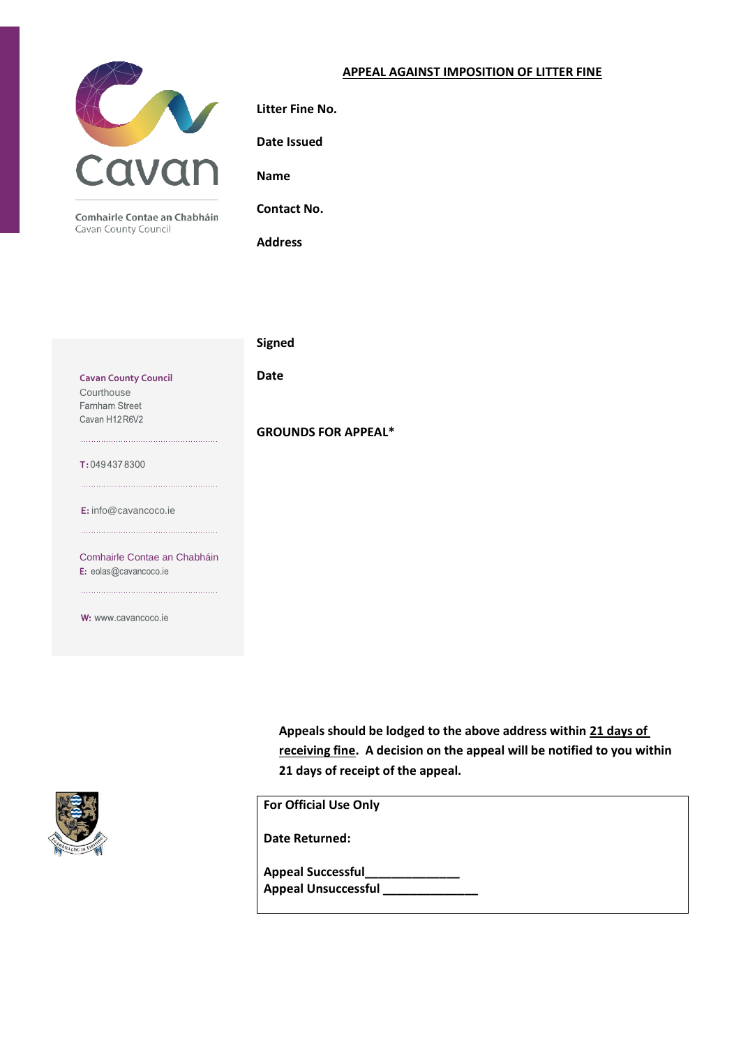

Comhairle Contae an Chabháin Cavan County Council

## **APPEAL AGAINST IMPOSITION OF LITTER FINE**

**Litter Fine No.**

**Date Issued**

**Name** 

**Contact No.** 

**Address**

**Signed Date Cavan County Council** Courthouse Farnham Street Cavan H12R6V2 **GROUNDS FOR APPEAL\*** T:0494378300 **E:** [info@cavancoco.ie](mailto:info@cavancoco.ie) Comhairle Contae an Chabháin E: eolas@cavancoco.ie W: www.cavancoco.ie

> **Appeals should be lodged to the above address within 21 days of receiving fine. A decision on the appeal will be notified to you within 21 days of receipt of the appeal.**



**For Official Use Only**

**Date Returned:**

**Appeal Successful\_\_\_\_\_\_\_\_\_\_\_\_\_\_ Appeal Unsuccessful \_\_\_\_\_\_\_\_\_\_\_\_\_\_**